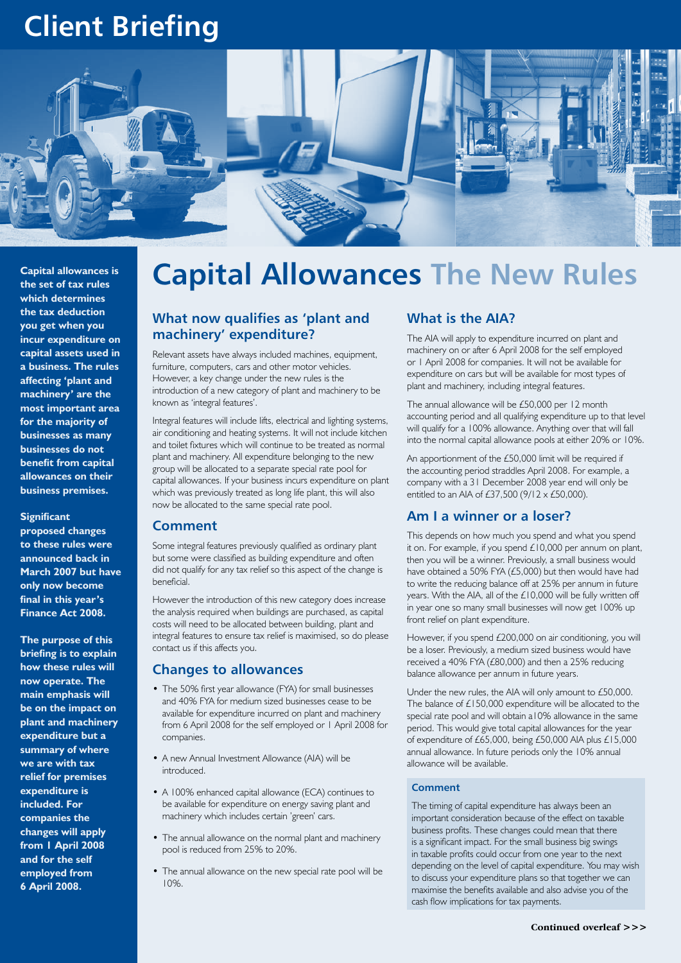# **Client Briefing**



**Capital allowances is the set of tax rules which determines the tax deduction you get when you incur expenditure on capital assets used in a business. The rules affecting 'plant and machinery' are the most important area for the majority of businesses as many businesses do not benefit from capital allowances on their business premises.**

#### **Significant**

**proposed changes to these rules were announced back in March 2007 but have only now become final in this year's Finance Act 2008.**

**The purpose of this briefing is to explain how these rules will now operate. The main emphasis will be on the impact on plant and machinery expenditure but a summary of where we are with tax relief for premises expenditure is included. For companies the changes will apply from 1 April 2008 and for the self employed from 6 April 2008.**

# **Capital Allowances The New Rules**

## **What now qualifies as 'plant and machinery' expenditure?**

Relevant assets have always included machines, equipment, furniture, computers, cars and other motor vehicles. However, a key change under the new rules is the introduction of a new category of plant and machinery to be known as 'integral features'.

Integral features will include lifts, electrical and lighting systems, air conditioning and heating systems. It will not include kitchen and toilet fixtures which will continue to be treated as normal plant and machinery. All expenditure belonging to the new group will be allocated to a separate special rate pool for capital allowances. If your business incurs expenditure on plant which was previously treated as long life plant, this will also now be allocated to the same special rate pool.

#### **Comment**

Some integral features previously qualified as ordinary plant but some were classified as building expenditure and often did not qualify for any tax relief so this aspect of the change is beneficial.

However the introduction of this new category does increase the analysis required when buildings are purchased, as capital costs will need to be allocated between building, plant and integral features to ensure tax relief is maximised, so do please contact us if this affects you.

### **Changes to allowances**

- The 50% first year allowance (FYA) for small businesses and 40% FYA for medium sized businesses cease to be available for expenditure incurred on plant and machinery from 6 April 2008 for the self employed or 1 April 2008 for companies.
- A new Annual Investment Allowance (AIA) will be introduced.
- A 100% enhanced capital allowance (ECA) continues to be available for expenditure on energy saving plant and machinery which includes certain 'green' cars.
- The annual allowance on the normal plant and machinery pool is reduced from 25% to 20%.
- The annual allowance on the new special rate pool will be 10%.

### **What is the AIA?**

The AIA will apply to expenditure incurred on plant and machinery on or after 6 April 2008 for the self employed or 1 April 2008 for companies. It will not be available for expenditure on cars but will be available for most types of plant and machinery, including integral features.

The annual allowance will be £50,000 per 12 month accounting period and all qualifying expenditure up to that level will qualify for a 100% allowance. Anything over that will fall into the normal capital allowance pools at either 20% or 10%.

An apportionment of the £50,000 limit will be required if the accounting period straddles April 2008. For example, a company with a 31 December 2008 year end will only be entitled to an AIA of £37,500 (9/12 x £50,000).

#### **Am I a winner or a loser?**

This depends on how much you spend and what you spend it on. For example, if you spend £10,000 per annum on plant, then you will be a winner. Previously, a small business would have obtained a 50% FYA (£5,000) but then would have had to write the reducing balance off at 25% per annum in future years. With the AIA, all of the £10,000 will be fully written off in year one so many small businesses will now get 100% up front relief on plant expenditure.

However, if you spend £200,000 on air conditioning, you will be a loser. Previously, a medium sized business would have received a 40% FYA (£80,000) and then a 25% reducing balance allowance per annum in future years.

Under the new rules, the AIA will only amount to £50,000. The balance of £150,000 expenditure will be allocated to the special rate pool and will obtain a10% allowance in the same period. This would give total capital allowances for the year of expenditure of £65,000, being £50,000 AIA plus £15,000 annual allowance. In future periods only the 10% annual allowance will be available.

#### **Comment**

The timing of capital expenditure has always been an important consideration because of the effect on taxable business profits. These changes could mean that there is a significant impact. For the small business big swings in taxable profits could occur from one year to the next depending on the level of capital expenditure. You may wish to discuss your expenditure plans so that together we can maximise the benefits available and also advise you of the cash flow implications for tax payments.